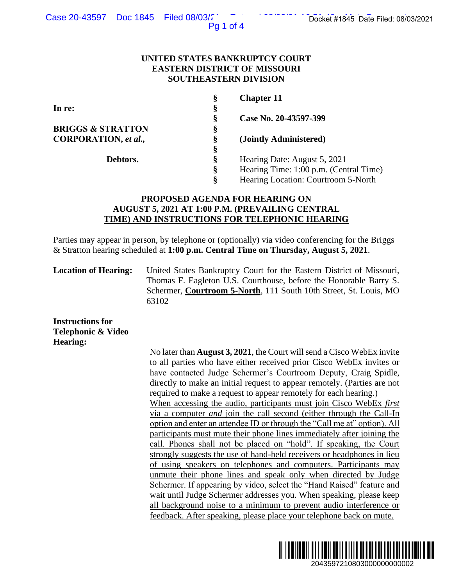Pg 1 of 4

### **UNITED STATES BANKRUPTCY COURT EASTERN DISTRICT OF MISSOURI SOUTHEASTERN DIVISION**

| Ş | <b>Chapter 11</b>                      |
|---|----------------------------------------|
| § |                                        |
| Ş | Case No. 20-43597-399                  |
| Ş |                                        |
| Ş | (Jointly Administered)                 |
| § |                                        |
| Ş | Hearing Date: August 5, 2021           |
| ş | Hearing Time: 1:00 p.m. (Central Time) |
| ş | Hearing Location: Courtroom 5-North    |
|   |                                        |

# **PROPOSED AGENDA FOR HEARING ON AUGUST 5, 2021 AT 1:00 P.M. (PREVAILING CENTRAL TIME) AND INSTRUCTIONS FOR TELEPHONIC HEARING**

Parties may appear in person, by telephone or (optionally) via video conferencing for the Briggs & Stratton hearing scheduled at **1:00 p.m. Central Time on Thursday, August 5, 2021**.

**Location of Hearing:** United States Bankruptcy Court for the Eastern District of Missouri, Thomas F. Eagleton U.S. Courthouse, before the Honorable Barry S. Schermer, **Courtroom 5-North**, 111 South 10th Street, St. Louis, MO 63102

**Instructions for Telephonic & Video Hearing:**

No later than **August 3, 2021**, the Court will send a Cisco WebEx invite to all parties who have either received prior Cisco WebEx invites or have contacted Judge Schermer's Courtroom Deputy, Craig Spidle, directly to make an initial request to appear remotely. (Parties are not required to make a request to appear remotely for each hearing.) When accessing the audio, participants must join Cisco WebEx *first*  via a computer *and* join the call second (either through the Call-In option and enter an attendee ID or through the "Call me at" option). All participants must mute their phone lines immediately after joining the call. Phones shall not be placed on "hold". If speaking, the Court strongly suggests the use of hand-held receivers or headphones in lieu of using speakers on telephones and computers. Participants may unmute their phone lines and speak only when directed by Judge Schermer. If appearing by video, select the "Hand Raised" feature and wait until Judge Schermer addresses you. When speaking, please keep all background noise to a minimum to prevent audio interference or feedback. After speaking, please place your telephone back on mute. 2043597210803000000000002 Docket #1845 Date Filed: 08/03/2021

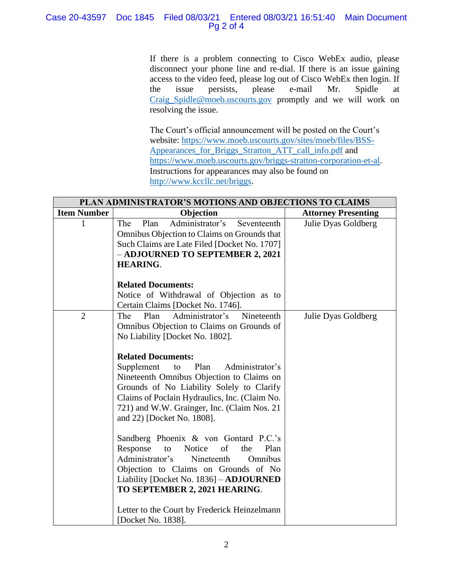### Case 20-43597 Doc 1845 Filed 08/03/21 Entered 08/03/21 16:51:40 Main Document Pg 2 of 4

If there is a problem connecting to Cisco WebEx audio, please disconnect your phone line and re-dial. If there is an issue gaining access to the video feed, please log out of Cisco WebEx then login. If the issue persists, please e-mail Mr. Spidle at [Craig\\_Spidle@moeb.uscourts.gov](mailto:Shontelle_McCoy@moeb.uscourts.gov) promptly and we will work on resolving the issue.

The Court's official announcement will be posted on the Court's website: [https://www.moeb.uscourts.gov/sites/moeb/files/BSS-](https://www.moeb.uscourts.gov/sites/moeb/files/BSS-Appearances_for_Briggs_Stratton_ATT_call_info.pdf)[Appearances\\_for\\_Briggs\\_Stratton\\_ATT\\_call\\_info.pdf](https://www.moeb.uscourts.gov/sites/moeb/files/BSS-Appearances_for_Briggs_Stratton_ATT_call_info.pdf) and [https://www.moeb.uscourts.gov/briggs-stratton-corporation-et-al.](https://www.moeb.uscourts.gov/briggs-stratton-corporation-et-al) Instructions for appearances may also be found on [http://www.kccllc.net/briggs.](http://www.kccllc.net/briggs)

| PLAN ADMINISTRATOR'S MOTIONS AND OBJECTIONS TO CLAIMS |                                                                                                                                                                                                                                                                                                                                                                                                                                                                                                                                                                                                                                                                                                                                            |                            |  |  |
|-------------------------------------------------------|--------------------------------------------------------------------------------------------------------------------------------------------------------------------------------------------------------------------------------------------------------------------------------------------------------------------------------------------------------------------------------------------------------------------------------------------------------------------------------------------------------------------------------------------------------------------------------------------------------------------------------------------------------------------------------------------------------------------------------------------|----------------------------|--|--|
| <b>Item Number</b>                                    | Objection                                                                                                                                                                                                                                                                                                                                                                                                                                                                                                                                                                                                                                                                                                                                  | <b>Attorney Presenting</b> |  |  |
|                                                       | Administrator's<br>Plan<br><b>The</b><br>Seventeenth<br>Omnibus Objection to Claims on Grounds that<br>Such Claims are Late Filed [Docket No. 1707]<br>- ADJOURNED TO SEPTEMBER 2, 2021<br><b>HEARING.</b>                                                                                                                                                                                                                                                                                                                                                                                                                                                                                                                                 | Julie Dyas Goldberg        |  |  |
|                                                       | <b>Related Documents:</b><br>Notice of Withdrawal of Objection as to<br>Certain Claims [Docket No. 1746].                                                                                                                                                                                                                                                                                                                                                                                                                                                                                                                                                                                                                                  |                            |  |  |
| $\overline{2}$                                        | Administrator's<br>Nineteenth<br>The<br>Plan<br>Omnibus Objection to Claims on Grounds of<br>No Liability [Docket No. 1802].<br><b>Related Documents:</b><br>Supplement<br>Plan<br>Administrator's<br>to<br>Nineteenth Omnibus Objection to Claims on<br>Grounds of No Liability Solely to Clarify<br>Claims of Poclain Hydraulics, Inc. (Claim No.<br>721) and W.W. Grainger, Inc. (Claim Nos. 21<br>and 22) [Docket No. 1808].<br>Sandberg Phoenix & von Gontard P.C.'s<br>Response<br>Notice<br>to<br>of<br>the<br>Plan<br>Omnibus<br>Administrator's<br>Nineteenth<br>Objection to Claims on Grounds of No<br>Liability [Docket No. 1836] - ADJOURNED<br>TO SEPTEMBER 2, 2021 HEARING.<br>Letter to the Court by Frederick Heinzelmann | Julie Dyas Goldberg        |  |  |
|                                                       | [Docket No. 1838].                                                                                                                                                                                                                                                                                                                                                                                                                                                                                                                                                                                                                                                                                                                         |                            |  |  |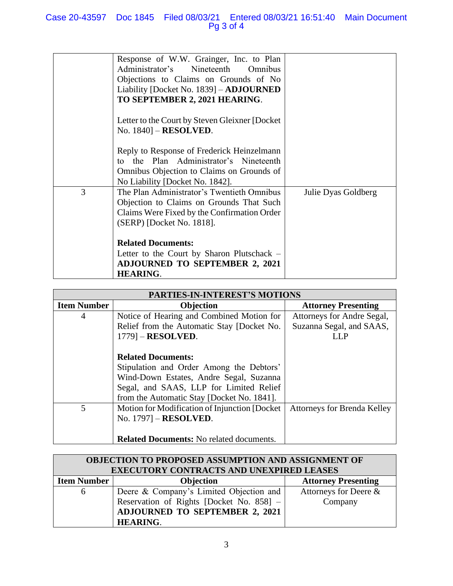## Case 20-43597 Doc 1845 Filed 08/03/21 Entered 08/03/21 16:51:40 Main Document Pg 3 of 4

|   | Response of W.W. Grainger, Inc. to Plan<br>Administrator's Nineteenth Omnibus<br>Objections to Claims on Grounds of No<br>Liability [Docket No. 1839] – <b>ADJOURNED</b><br>TO SEPTEMBER 2, 2021 HEARING. |                     |
|---|-----------------------------------------------------------------------------------------------------------------------------------------------------------------------------------------------------------|---------------------|
|   | Letter to the Court by Steven Gleixner [Docket]<br>No. 1840] - RESOLVED.                                                                                                                                  |                     |
|   | Reply to Response of Frederick Heinzelmann<br>to the Plan Administrator's Nineteenth<br>Omnibus Objection to Claims on Grounds of<br>No Liability [Docket No. 1842].                                      |                     |
| 3 | The Plan Administrator's Twentieth Omnibus<br>Objection to Claims on Grounds That Such<br>Claims Were Fixed by the Confirmation Order<br>(SERP) [Docket No. 1818].                                        | Julie Dyas Goldberg |
|   | <b>Related Documents:</b><br>Letter to the Court by Sharon Plutschack –<br><b>ADJOURNED TO SEPTEMBER 2, 2021</b><br><b>HEARING.</b>                                                                       |                     |

| <b>PARTIES-IN-INTEREST'S MOTIONS</b> |                                                 |                                    |  |  |
|--------------------------------------|-------------------------------------------------|------------------------------------|--|--|
| <b>Item Number</b>                   | Objection                                       | <b>Attorney Presenting</b>         |  |  |
| 4                                    | Notice of Hearing and Combined Motion for       | Attorneys for Andre Segal,         |  |  |
|                                      | Relief from the Automatic Stay [Docket No.      | Suzanna Segal, and SAAS,           |  |  |
|                                      | $1779$ ] – RESOLVED.                            | LL P                               |  |  |
|                                      |                                                 |                                    |  |  |
|                                      | <b>Related Documents:</b>                       |                                    |  |  |
|                                      | Stipulation and Order Among the Debtors'        |                                    |  |  |
|                                      | Wind-Down Estates, Andre Segal, Suzanna         |                                    |  |  |
|                                      | Segal, and SAAS, LLP for Limited Relief         |                                    |  |  |
|                                      | from the Automatic Stay [Docket No. 1841].      |                                    |  |  |
| 5                                    | Motion for Modification of Injunction [Docket]  | <b>Attorneys for Brenda Kelley</b> |  |  |
|                                      | No. 1797] - RESOLVED.                           |                                    |  |  |
|                                      |                                                 |                                    |  |  |
|                                      | <b>Related Documents:</b> No related documents. |                                    |  |  |

| OBJECTION TO PROPOSED ASSUMPTION AND ASSIGNMENT OF<br><b>EXECUTORY CONTRACTS AND UNEXPIRED LEASES</b> |                                          |                            |  |  |
|-------------------------------------------------------------------------------------------------------|------------------------------------------|----------------------------|--|--|
| <b>Item Number</b>                                                                                    | Objection                                | <b>Attorney Presenting</b> |  |  |
| 6                                                                                                     | Deere & Company's Limited Objection and  | Attorneys for Deere &      |  |  |
|                                                                                                       | Reservation of Rights [Docket No. 858] - | Company                    |  |  |
|                                                                                                       | <b>ADJOURNED TO SEPTEMBER 2, 2021</b>    |                            |  |  |
|                                                                                                       | <b>HEARING.</b>                          |                            |  |  |